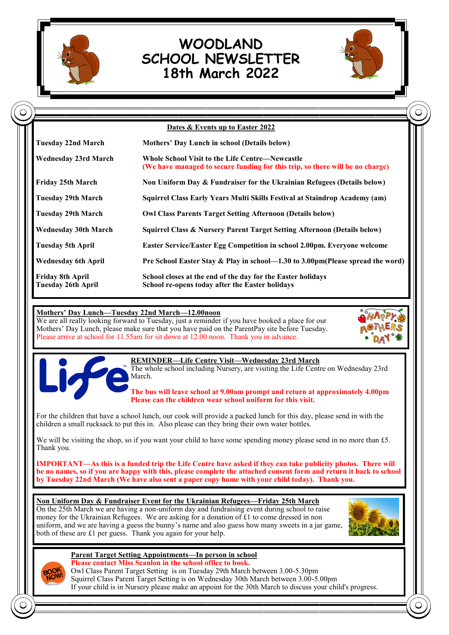

# **WOODLAND SCHOOL NEWSLETTER 18th March 2022**



| <b>Dates &amp; Events up to Easter 2022</b>   |                                                                                                                                         |
|-----------------------------------------------|-----------------------------------------------------------------------------------------------------------------------------------------|
| Tuesday 22nd March                            | Mothers' Day Lunch in school (Details below)                                                                                            |
| <b>Wednesday 23rd March</b>                   | <b>Whole School Visit to the Life Centre—Newcastle</b><br>(We have managed to secure funding for this trip, so there will be no charge) |
| Friday 25th March                             | Non Uniform Day & Fundraiser for the Ukrainian Refugees (Details below)                                                                 |
| Tuesday 29th March                            | Squirrel Class Early Years Multi Skills Festival at Staindrop Academy (am)                                                              |
| Tuesday 29th March                            | <b>Owl Class Parents Target Setting Afternoon (Details below)</b>                                                                       |
| <b>Wednesday 30th March</b>                   | Squirrel Class & Nursery Parent Target Setting Afternoon (Details below)                                                                |
| <b>Tuesday 5th April</b>                      | Easter Service/Easter Egg Competition in school 2.00pm. Everyone welcome                                                                |
| <b>Wednesday 6th April</b>                    | Pre School Easter Stay & Play in school-1.30 to 3.00pm(Please spread the word)                                                          |
| Friday 8th April<br><b>Tuesday 26th April</b> | School closes at the end of the day for the Easter holidays<br>School re-opens today after the Easter holidays                          |

## **Mothers' Day Lunch—Tuesday 22nd March—12.00noon**

We are all really looking forward to Tuesday, just a reminder if you have booked a place for our Mothers' Day Lunch, please make sure that you have paid on the ParentPay site before Tuesday. Please arrive at school for 11.55am for sit down at 12.00 noon. Thank you in advance.





**REMINDER—Life Centre Visit—Wednesday 23rd March**

The whole school including Nursery, are visiting the Life Centre on Wednesday 23rd March.

**The bus will leave school at 9.00am prompt and return at approximately 4.00pm Please can the children wear school uniform for this visit.**

For the children that have a school lunch, our cook will provide a packed lunch for this day, please send in with the children a small rucksack to put this in. Also please can they bring their own water bottles.

We will be visiting the shop, so if you want your child to have some spending money please send in no more than £5. Thank you.

**IMPORTANT—As this is a funded trip the Life Centre have asked if they can take publicity photos. There will be no names, so if you are happy with this, please complete the attached consent form and return it back to school by Tuesday 22nd March (We have also sent a paper copy home with your child today). Thank you.**

#### **Non Uniform Day & Fundraiser Event for the Ukrainian Refugees—Friday 25th March**

On the 25th March we are having a non-uniform day and fundraising event during school to raise money for the Ukrainian Refugees. We are asking for a donation of  $£1$  to come dressed in non uniform, and we are having a guess the bunny's name and also guess how many sweets in a jar game, both of these are £1 per guess. Thank you again for your help.





**Parent Target Setting Appointments—In person in school Please contact Miss Scanlon in the school office to book.** Owl Class Parent Target Setting is on Tuesday 29th March between 3.00-5.30pm Squirrel Class Parent Target Setting is on Wednesday 30th March between 3.00-5.00pm If your child is in Nursery please make an appoint for the 30th March to discuss your child's progress.